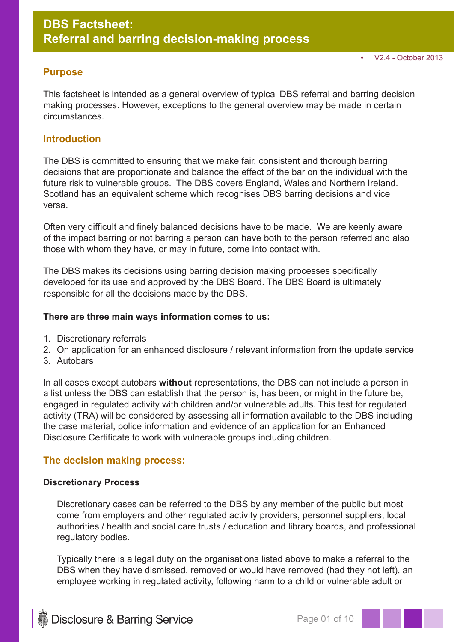## **Purpose**

This factsheet is intended as a general overview of typical DBS referral and barring decision making processes. However, exceptions to the general overview may be made in certain circumstances.

# **Introduction**

The DBS is committed to ensuring that we make fair, consistent and thorough barring decisions that are proportionate and balance the effect of the bar on the individual with the future risk to vulnerable groups. The DBS covers England, Wales and Northern Ireland. Scotland has an equivalent scheme which recognises DBS barring decisions and vice versa.

Often very difficult and finely balanced decisions have to be made. We are keenly aware of the impact barring or not barring a person can have both to the person referred and also those with whom they have, or may in future, come into contact with.

The DBS makes its decisions using barring decision making processes specifically developed for its use and approved by the DBS Board. The DBS Board is ultimately responsible for all the decisions made by the DBS.

#### **There are three main ways information comes to us:**

- 1. Discretionary referrals
- 2. On application for an enhanced disclosure / relevant information from the update service
- 3. Autobars

In all cases except autobars **without** representations, the DBS can not include a person in a list unless the DBS can establish that the person is, has been, or might in the future be, engaged in regulated activity with children and/or vulnerable adults. This test for regulated activity (TRA) will be considered by assessing all information available to the DBS including the case material, police information and evidence of an application for an Enhanced Disclosure Certificate to work with vulnerable groups including children.

## **The decision making process:**

#### **Discretionary Process**

Discretionary cases can be referred to the DBS by any member of the public but most come from employers and other regulated activity providers, personnel suppliers, local authorities / health and social care trusts / education and library boards, and professional regulatory bodies.

Typically there is a legal duty on the organisations listed above to make a referral to the DBS when they have dismissed, removed or would have removed (had they not left), an employee working in regulated activity, following harm to a child or vulnerable adult or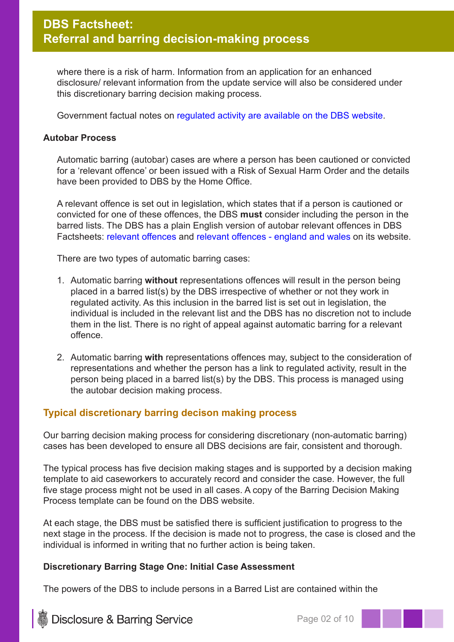where there is a risk of harm. Information from an application for an enhanced disclosure/ relevant information from the update service will also be considered under this discretionary barring decision making process.

Government factual notes on regulated activity are available on the DBS website.

#### **Autobar Process**

Automatic barring (autobar) cases are where a person has been cautioned or convicted for a 'relevant offence' or been issued with a Risk of Sexual Harm Order and the details have been provided to DBS by the Home Office.

A relevant offence is set out in legislation, which states that if a person is cautioned or convicted for one of these offences, the DBS **must** consider including the person in the barred lists. The DBS has a plain English version of autobar relevant offences in DBS Factsheets: relevant offences and relevant offences - england and wales on its website.

There are two types of automatic barring cases:

- 1. Automatic barring **without** representations offences will result in the person being placed in a barred list(s) by the DBS irrespective of whether or not they work in regulated activity. As this inclusion in the barred list is set out in legislation, the individual is included in the relevant list and the DBS has no discretion not to include them in the list. There is no right of appeal against automatic barring for a relevant offence.
- 2. Automatic barring **with** representations offences may, subject to the consideration of representations and whether the person has a link to regulated activity, result in the person being placed in a barred list(s) by the DBS. This process is managed using the autobar decision making process.

## **Typical discretionary barring decison making process**

Our barring decision making process for considering discretionary (non-automatic barring) cases has been developed to ensure all DBS decisions are fair, consistent and thorough.

The typical process has five decision making stages and is supported by a decision making template to aid caseworkers to accurately record and consider the case. However, the full five stage process might not be used in all cases. A copy of the Barring Decision Making Process template can be found on the DBS website.

At each stage, the DBS must be satisfied there is sufficient justification to progress to the next stage in the process. If the decision is made not to progress, the case is closed and the individual is informed in writing that no further action is being taken.

#### **Discretionary Barring Stage One: Initial Case Assessment**

The powers of the DBS to include persons in a Barred List are contained within the

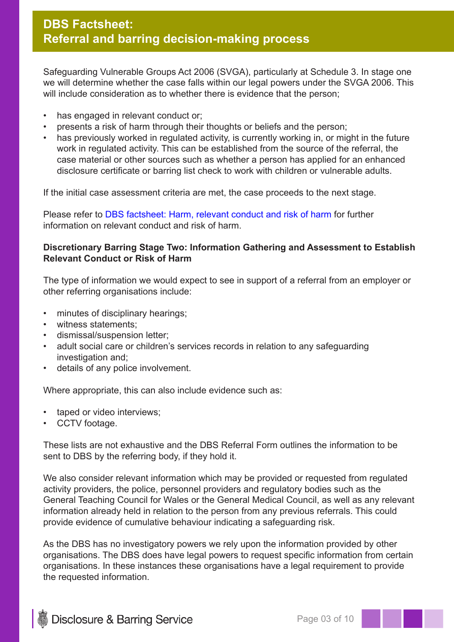Safeguarding Vulnerable Groups Act 2006 (SVGA), particularly at Schedule 3. In stage one we will determine whether the case falls within our legal powers under the SVGA 2006. This will include consideration as to whether there is evidence that the person;

- has engaged in relevant conduct or:
- presents a risk of harm through their thoughts or beliefs and the person;
- has previously worked in regulated activity, is currently working in, or might in the future work in regulated activity. This can be established from the source of the referral, the case material or other sources such as whether a person has applied for an enhanced disclosure certificate or barring list check to work with children or vulnerable adults.

If the initial case assessment criteria are met, the case proceeds to the next stage.

Please refer to DBS factsheet: Harm, relevant conduct and risk of harm for further information on relevant conduct and risk of harm.

## **Discretionary Barring Stage Two: Information Gathering and Assessment to Establish Relevant Conduct or Risk of Harm**

The type of information we would expect to see in support of a referral from an employer or other referring organisations include:

- minutes of disciplinary hearings;
- witness statements;
- dismissal/suspension letter;
- adult social care or children's services records in relation to any safeguarding investigation and;
- details of any police involvement.

Where appropriate, this can also include evidence such as:

- taped or video interviews;
- CCTV footage.

These lists are not exhaustive and the DBS Referral Form outlines the information to be sent to DBS by the referring body, if they hold it.

We also consider relevant information which may be provided or requested from regulated activity providers, the police, personnel providers and regulatory bodies such as the General Teaching Council for Wales or the General Medical Council, as well as any relevant information already held in relation to the person from any previous referrals. This could provide evidence of cumulative behaviour indicating a safeguarding risk.

As the DBS has no investigatory powers we rely upon the information provided by other organisations. The DBS does have legal powers to request specific information from certain organisations. In these instances these organisations have a legal requirement to provide the requested information.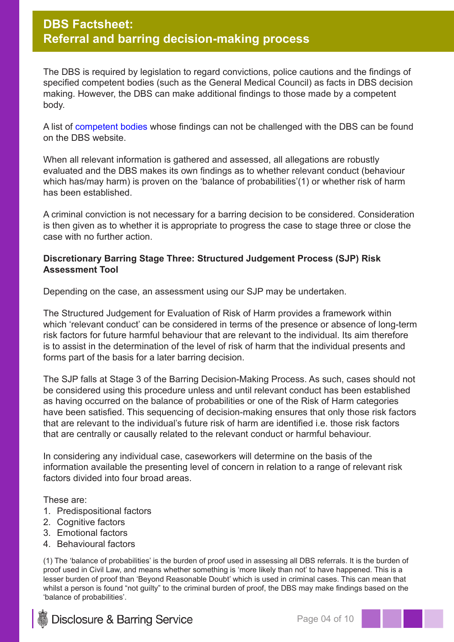The DBS is required by legislation to regard convictions, police cautions and the findings of specified competent bodies (such as the General Medical Council) as facts in DBS decision making. However, the DBS can make additional findings to those made by a competent body.

A list of competent bodies whose findings can not be challenged with the DBS can be found on the DBS website.

When all relevant information is gathered and assessed, all allegations are robustly evaluated and the DBS makes its own findings as to whether relevant conduct (behaviour which has/may harm) is proven on the 'balance of probabilities'(1) or whether risk of harm has been established.

A criminal conviction is not necessary for a barring decision to be considered. Consideration is then given as to whether it is appropriate to progress the case to stage three or close the case with no further action.

## **Discretionary Barring Stage Three: Structured Judgement Process (SJP) Risk Assessment Tool**

Depending on the case, an assessment using our SJP may be undertaken.

The Structured Judgement for Evaluation of Risk of Harm provides a framework within which 'relevant conduct' can be considered in terms of the presence or absence of long-term risk factors for future harmful behaviour that are relevant to the individual. Its aim therefore is to assist in the determination of the level of risk of harm that the individual presents and forms part of the basis for a later barring decision.

The SJP falls at Stage 3 of the Barring Decision-Making Process. As such, cases should not be considered using this procedure unless and until relevant conduct has been established as having occurred on the balance of probabilities or one of the Risk of Harm categories have been satisfied. This sequencing of decision-making ensures that only those risk factors that are relevant to the individual's future risk of harm are identified i.e. those risk factors that are centrally or causally related to the relevant conduct or harmful behaviour.

In considering any individual case, caseworkers will determine on the basis of the information available the presenting level of concern in relation to a range of relevant risk factors divided into four broad areas.

These are:

- 1. Predispositional factors
- 2. Cognitive factors
- 3. Emotional factors
- 4. Behavioural factors

(1) The 'balance of probabilities' is the burden of proof used in assessing all DBS referrals. It is the burden of proof used in Civil Law, and means whether something is 'more likely than not' to have happened. This is a lesser burden of proof than 'Beyond Reasonable Doubt' which is used in criminal cases. This can mean that whilst a person is found "not guilty" to the criminal burden of proof, the DBS may make findings based on the 'balance of probabilities'.



**Disclosure & Barring Service**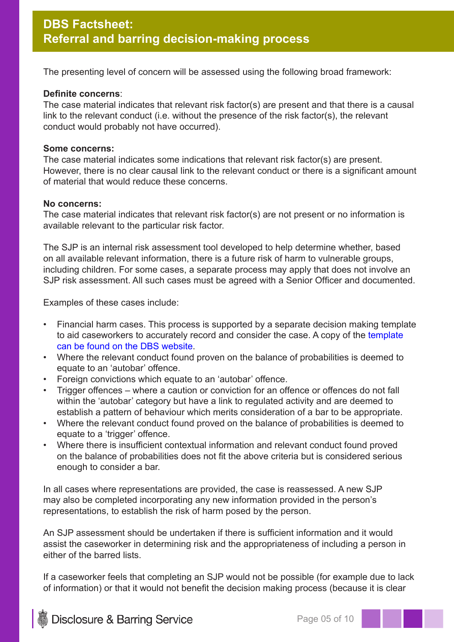The presenting level of concern will be assessed using the following broad framework:

#### **Definite concerns**:

The case material indicates that relevant risk factor(s) are present and that there is a causal link to the relevant conduct (i.e. without the presence of the risk factor(s), the relevant conduct would probably not have occurred).

#### **Some concerns:**

The case material indicates some indications that relevant risk factor(s) are present. However, there is no clear causal link to the relevant conduct or there is a significant amount of material that would reduce these concerns.

#### **No concerns:**

The case material indicates that relevant risk factor(s) are not present or no information is available relevant to the particular risk factor.

The SJP is an internal risk assessment tool developed to help determine whether, based on all available relevant information, there is a future risk of harm to vulnerable groups, including children. For some cases, a separate process may apply that does not involve an SJP risk assessment. All such cases must be agreed with a Senior Officer and documented.

Examples of these cases include:

- Financial harm cases. This process is supported by a separate decision making template to aid caseworkers to accurately record and consider the case. A copy of the template can be found on the DBS website.
- Where the relevant conduct found proven on the balance of probabilities is deemed to equate to an 'autobar' offence.
- Foreign convictions which equate to an 'autobar' offence.
- Trigger offences where a caution or conviction for an offence or offences do not fall within the 'autobar' category but have a link to regulated activity and are deemed to establish a pattern of behaviour which merits consideration of a bar to be appropriate.
- Where the relevant conduct found proved on the balance of probabilities is deemed to equate to a 'trigger' offence.
- Where there is insufficient contextual information and relevant conduct found proved on the balance of probabilities does not fit the above criteria but is considered serious enough to consider a bar.

In all cases where representations are provided, the case is reassessed. A new SJP may also be completed incorporating any new information provided in the person's representations, to establish the risk of harm posed by the person.

An SJP assessment should be undertaken if there is sufficient information and it would assist the caseworker in determining risk and the appropriateness of including a person in either of the barred lists.

If a caseworker feels that completing an SJP would not be possible (for example due to lack of information) or that it would not benefit the decision making process (because it is clear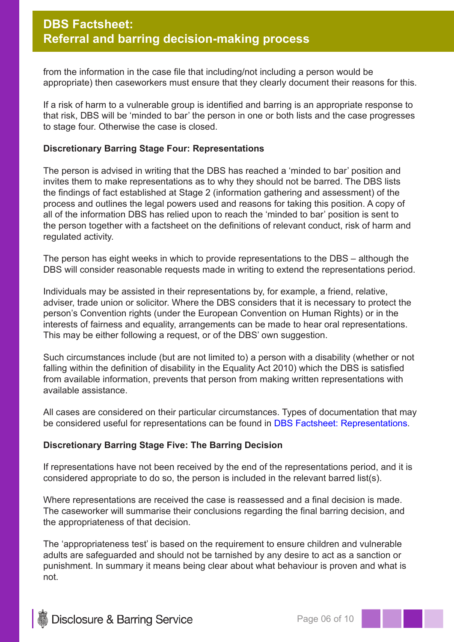from the information in the case file that including/not including a person would be appropriate) then caseworkers must ensure that they clearly document their reasons for this.

If a risk of harm to a vulnerable group is identified and barring is an appropriate response to that risk, DBS will be 'minded to bar' the person in one or both lists and the case progresses to stage four. Otherwise the case is closed.

#### **Discretionary Barring Stage Four: Representations**

The person is advised in writing that the DBS has reached a 'minded to bar' position and invites them to make representations as to why they should not be barred. The DBS lists the findings of fact established at Stage 2 (information gathering and assessment) of the process and outlines the legal powers used and reasons for taking this position. A copy of all of the information DBS has relied upon to reach the 'minded to bar' position is sent to the person together with a factsheet on the definitions of relevant conduct, risk of harm and regulated activity.

The person has eight weeks in which to provide representations to the DBS – although the DBS will consider reasonable requests made in writing to extend the representations period.

Individuals may be assisted in their representations by, for example, a friend, relative, adviser, trade union or solicitor. Where the DBS considers that it is necessary to protect the person's Convention rights (under the European Convention on Human Rights) or in the interests of fairness and equality, arrangements can be made to hear oral representations. This may be either following a request, or of the DBS' own suggestion.

Such circumstances include (but are not limited to) a person with a disability (whether or not falling within the definition of disability in the Equality Act 2010) which the DBS is satisfied from available information, prevents that person from making written representations with available assistance.

All cases are considered on their particular circumstances. Types of documentation that may be considered useful for representations can be found in DBS Factsheet: Representations.

## **Discretionary Barring Stage Five: The Barring Decision**

If representations have not been received by the end of the representations period, and it is considered appropriate to do so, the person is included in the relevant barred list(s).

Where representations are received the case is reassessed and a final decision is made. The caseworker will summarise their conclusions regarding the final barring decision, and the appropriateness of that decision.

The 'appropriateness test' is based on the requirement to ensure children and vulnerable adults are safeguarded and should not be tarnished by any desire to act as a sanction or punishment. In summary it means being clear about what behaviour is proven and what is not.

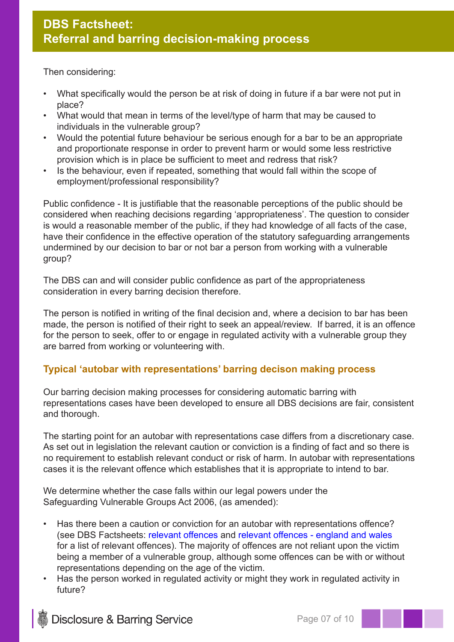Then considering:

- What specifically would the person be at risk of doing in future if a bar were not put in place?
- What would that mean in terms of the level/type of harm that may be caused to individuals in the vulnerable group?
- Would the potential future behaviour be serious enough for a bar to be an appropriate and proportionate response in order to prevent harm or would some less restrictive provision which is in place be sufficient to meet and redress that risk?
- Is the behaviour, even if repeated, something that would fall within the scope of employment/professional responsibility?

Public confidence - It is justifiable that the reasonable perceptions of the public should be considered when reaching decisions regarding 'appropriateness'. The question to consider is would a reasonable member of the public, if they had knowledge of all facts of the case, have their confidence in the effective operation of the statutory safeguarding arrangements undermined by our decision to bar or not bar a person from working with a vulnerable group?

The DBS can and will consider public confidence as part of the appropriateness consideration in every barring decision therefore.

The person is notified in writing of the final decision and, where a decision to bar has been made, the person is notified of their right to seek an appeal/review. If barred, it is an offence for the person to seek, offer to or engage in regulated activity with a vulnerable group they are barred from working or volunteering with.

# **Typical 'autobar with representations' barring decison making process**

Our barring decision making processes for considering automatic barring with representations cases have been developed to ensure all DBS decisions are fair, consistent and thorough.

The starting point for an autobar with representations case differs from a discretionary case. As set out in legislation the relevant caution or conviction is a finding of fact and so there is no requirement to establish relevant conduct or risk of harm. In autobar with representations cases it is the relevant offence which establishes that it is appropriate to intend to bar.

We determine whether the case falls within our legal powers under the Safeguarding Vulnerable Groups Act 2006, (as amended):

- Has there been a caution or conviction for an autobar with representations offence? (see DBS Factsheets: relevant offences and relevant offences - england and wales for a list of relevant offences). The majority of offences are not reliant upon the victim being a member of a vulnerable group, although some offences can be with or without representations depending on the age of the victim.
- Has the person worked in regulated activity or might they work in regulated activity in future?

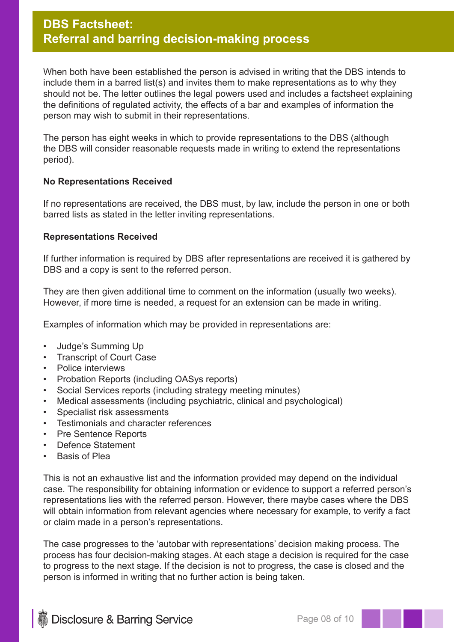# **DBS Factsheet: Referral and barring decision-making process**

When both have been established the person is advised in writing that the DBS intends to include them in a barred list(s) and invites them to make representations as to why they should not be. The letter outlines the legal powers used and includes a factsheet explaining the definitions of regulated activity, the effects of a bar and examples of information the person may wish to submit in their representations.

The person has eight weeks in which to provide representations to the DBS (although the DBS will consider reasonable requests made in writing to extend the representations period).

#### **No Representations Received**

If no representations are received, the DBS must, by law, include the person in one or both barred lists as stated in the letter inviting representations.

#### **Representations Received**

If further information is required by DBS after representations are received it is gathered by DBS and a copy is sent to the referred person.

They are then given additional time to comment on the information (usually two weeks). However, if more time is needed, a request for an extension can be made in writing.

Examples of information which may be provided in representations are:

- Judge's Summing Up
- Transcript of Court Case
- Police interviews
- Probation Reports (including OASys reports)
- Social Services reports (including strategy meeting minutes)
- Medical assessments (including psychiatric, clinical and psychological)
- Specialist risk assessments
- Testimonials and character references
- Pre Sentence Reports
- Defence Statement
- Basis of Plea

This is not an exhaustive list and the information provided may depend on the individual case. The responsibility for obtaining information or evidence to support a referred person's representations lies with the referred person. However, there maybe cases where the DBS will obtain information from relevant agencies where necessary for example, to verify a fact or claim made in a person's representations.

The case progresses to the 'autobar with representations' decision making process. The process has four decision-making stages. At each stage a decision is required for the case to progress to the next stage. If the decision is not to progress, the case is closed and the person is informed in writing that no further action is being taken.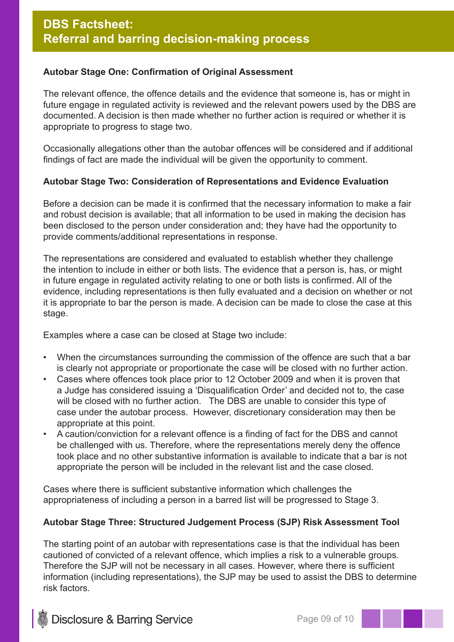## **Autobar Stage One: Confirmation of Original Assessment**

The relevant offence, the offence details and the evidence that someone is, has or might in future engage in regulated activity is reviewed and the relevant powers used by the DBS are documented. A decision is then made whether no further action is required or whether it is appropriate to progress to stage two.

Occasionally allegations other than the autobar offences will be considered and if additional findings of fact are made the individual will be given the opportunity to comment.

## **Autobar Stage Two: Consideration of Representations and Evidence Evaluation**

Before a decision can be made it is confirmed that the necessary information to make a fair and robust decision is available; that all information to be used in making the decision has been disclosed to the person under consideration and; they have had the opportunity to provide comments/additional representations in response.

The representations are considered and evaluated to establish whether they challenge the intention to include in either or both lists. The evidence that a person is, has, or might in future engage in regulated activity relating to one or both lists is confirmed. All of the evidence, including representations is then fully evaluated and a decision on whether or not it is appropriate to bar the person is made. A decision can be made to close the case at this stage.

Examples where a case can be closed at Stage two include:

- When the circumstances surrounding the commission of the offence are such that a bar is clearly not appropriate or proportionate the case will be closed with no further action.
- Cases where offences took place prior to 12 October 2009 and when it is proven that a Judge has considered issuing a 'Disqualification Order' and decided not to, the case will be closed with no further action. The DBS are unable to consider this type of case under the autobar process. However, discretionary consideration may then be appropriate at this point.
- A caution/conviction for a relevant offence is a finding of fact for the DBS and cannot be challenged with us. Therefore, where the representations merely deny the offence took place and no other substantive information is available to indicate that a bar is not appropriate the person will be included in the relevant list and the case closed.

Cases where there is sufficient substantive information which challenges the appropriateness of including a person in a barred list will be progressed to Stage 3.

#### **Autobar Stage Three: Structured Judgement Process (SJP) Risk Assessment Tool**

The starting point of an autobar with representations case is that the individual has been cautioned of convicted of a relevant offence, which implies a risk to a vulnerable groups. Therefore the SJP will not be necessary in all cases. However, where there is sufficient information (including representations), the SJP may be used to assist the DBS to determine risk factors.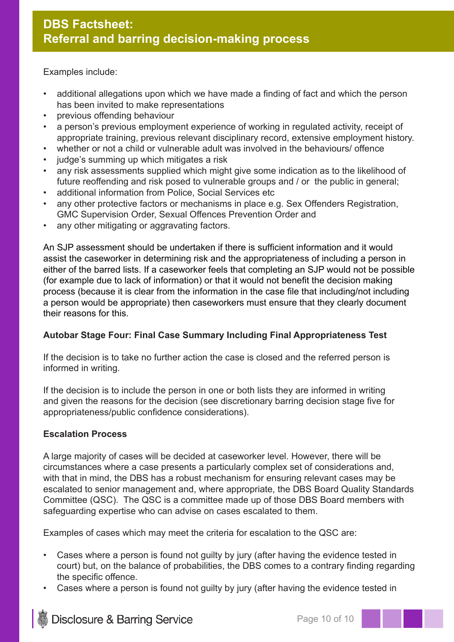Examples include:

- additional allegations upon which we have made a finding of fact and which the person has been invited to make representations
- previous offending behaviour
- a person's previous employment experience of working in regulated activity, receipt of appropriate training, previous relevant disciplinary record, extensive employment history.
- whether or not a child or vulnerable adult was involved in the behaviours/ offence
- judge's summing up which mitigates a risk
- any risk assessments supplied which might give some indication as to the likelihood of future reoffending and risk posed to vulnerable groups and / or the public in general;
- additional information from Police, Social Services etc
- any other protective factors or mechanisms in place e.g. Sex Offenders Registration, GMC Supervision Order, Sexual Offences Prevention Order and
- any other mitigating or aggravating factors.

An SJP assessment should be undertaken if there is sufficient information and it would assist the caseworker in determining risk and the appropriateness of including a person in either of the barred lists. If a caseworker feels that completing an SJP would not be possible (for example due to lack of information) or that it would not benefit the decision making process (because it is clear from the information in the case file that including/not including a person would be appropriate) then caseworkers must ensure that they clearly document their reasons for this.

## **Autobar Stage Four: Final Case Summary Including Final Appropriateness Test**

If the decision is to take no further action the case is closed and the referred person is informed in writing.

If the decision is to include the person in one or both lists they are informed in writing and given the reasons for the decision (see discretionary barring decision stage five for appropriateness/public confidence considerations).

#### **Escalation Process**

A large majority of cases will be decided at caseworker level. However, there will be circumstances where a case presents a particularly complex set of considerations and, with that in mind, the DBS has a robust mechanism for ensuring relevant cases may be escalated to senior management and, where appropriate, the DBS Board Quality Standards Committee (QSC). The QSC is a committee made up of those DBS Board members with safeguarding expertise who can advise on cases escalated to them.

Examples of cases which may meet the criteria for escalation to the QSC are:

- Cases where a person is found not quilty by jury (after having the evidence tested in court) but, on the balance of probabilities, the DBS comes to a contrary finding regarding the specific offence.
- Cases where a person is found not guilty by jury (after having the evidence tested in

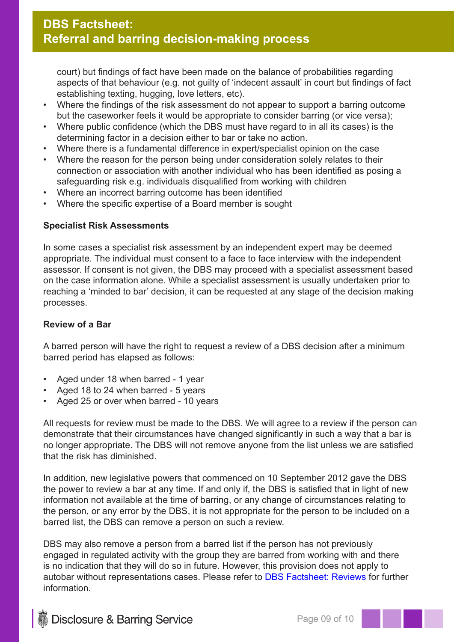court) but findings of fact have been made on the balance of probabilities regarding aspects of that behaviour (e.g. not guilty of 'indecent assault' in court but findings of fact establishing texting, hugging, love letters, etc).

- Where the findings of the risk assessment do not appear to support a barring outcome but the caseworker feels it would be appropriate to consider barring (or vice versa);
- Where public confidence (which the DBS must have regard to in all its cases) is the determining factor in a decision either to bar or take no action.
- Where there is a fundamental difference in expert/specialist opinion on the case
- Where the reason for the person being under consideration solely relates to their connection or association with another individual who has been identified as posing a safeguarding risk e.g. individuals disqualified from working with children
- Where an incorrect barring outcome has been identified
- Where the specific expertise of a Board member is sought

#### **Specialist Risk Assessments**

In some cases a specialist risk assessment by an independent expert may be deemed appropriate. The individual must consent to a face to face interview with the independent assessor. If consent is not given, the DBS may proceed with a specialist assessment based on the case information alone. While a specialist assessment is usually undertaken prior to reaching a 'minded to bar' decision, it can be requested at any stage of the decision making processes.

### **Review of a Bar**

A barred person will have the right to request a review of a DBS decision after a minimum barred period has elapsed as follows:

- Aged under 18 when barred 1 year
- Aged 18 to 24 when barred 5 years
- Aged 25 or over when barred 10 years

All requests for review must be made to the DBS. We will agree to a review if the person can demonstrate that their circumstances have changed significantly in such a way that a bar is no longer appropriate. The DBS will not remove anyone from the list unless we are satisfied that the risk has diminished.

In addition, new legislative powers that commenced on 10 September 2012 gave the DBS the power to review a bar at any time. If and only if, the DBS is satisfied that in light of new information not available at the time of barring, or any change of circumstances relating to the person, or any error by the DBS, it is not appropriate for the person to be included on a barred list, the DBS can remove a person on such a review.

DBS may also remove a person from a barred list if the person has not previously engaged in regulated activity with the group they are barred from working with and there is no indication that they will do so in future. However, this provision does not apply to autobar without representations cases. Please refer to DBS Factsheet: Reviews for further information.